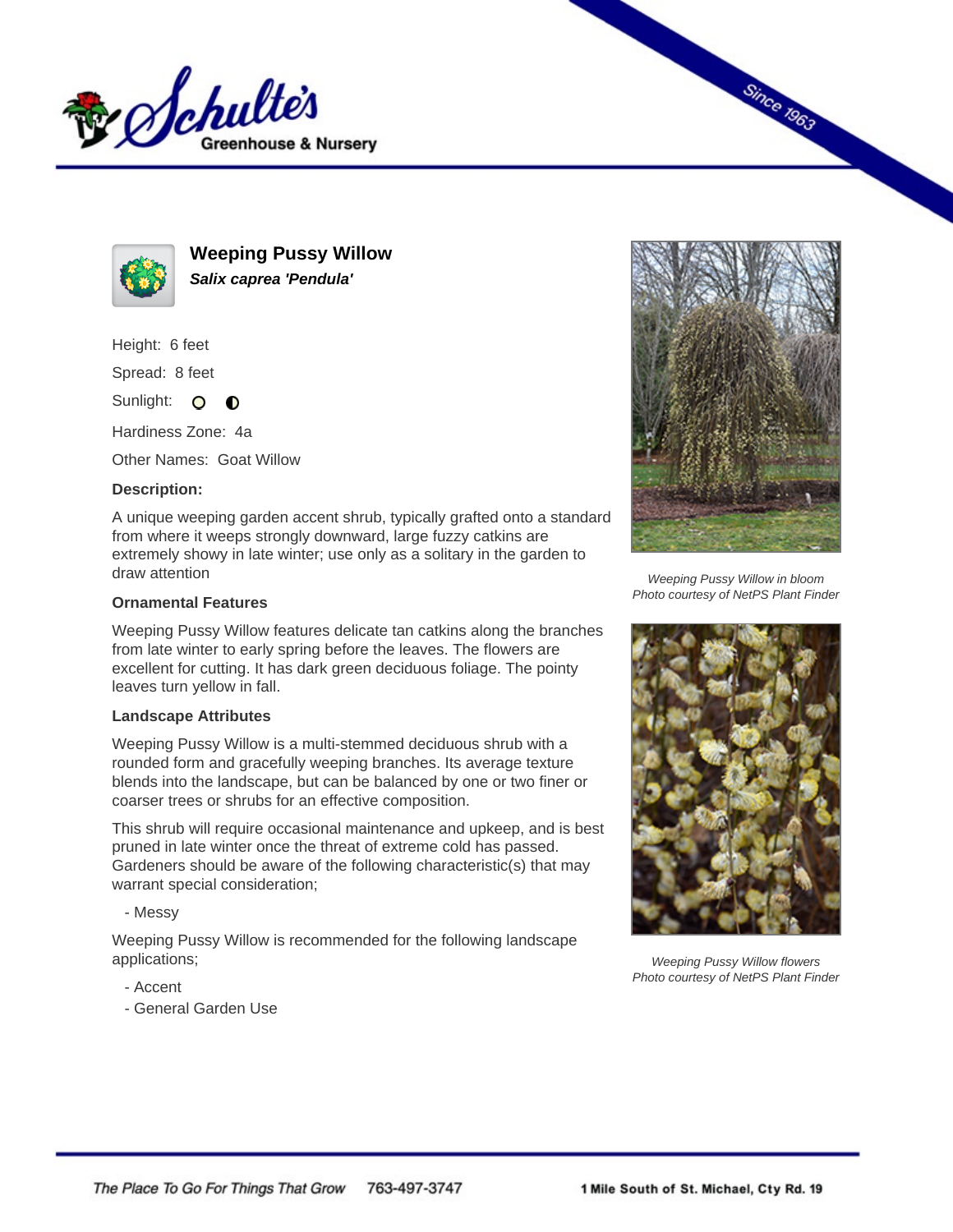



**Weeping Pussy Willow Salix caprea 'Pendula'**

Height: 6 feet

Spread: 8 feet

Sunlight: O **O** 

Hardiness Zone: 4a

Other Names: Goat Willow

## **Description:**

A unique weeping garden accent shrub, typically grafted onto a standard from where it weeps strongly downward, large fuzzy catkins are extremely showy in late winter; use only as a solitary in the garden to draw attention

## **Ornamental Features**

Weeping Pussy Willow features delicate tan catkins along the branches from late winter to early spring before the leaves. The flowers are excellent for cutting. It has dark green deciduous foliage. The pointy leaves turn yellow in fall.

## **Landscape Attributes**

Weeping Pussy Willow is a multi-stemmed deciduous shrub with a rounded form and gracefully weeping branches. Its average texture blends into the landscape, but can be balanced by one or two finer or coarser trees or shrubs for an effective composition.

This shrub will require occasional maintenance and upkeep, and is best pruned in late winter once the threat of extreme cold has passed. Gardeners should be aware of the following characteristic(s) that may warrant special consideration;

- Messy

Weeping Pussy Willow is recommended for the following landscape applications;

- Accent
- General Garden Use



**Since 1963** 

Weeping Pussy Willow in bloom Photo courtesy of NetPS Plant Finder



Weeping Pussy Willow flowers Photo courtesy of NetPS Plant Finder